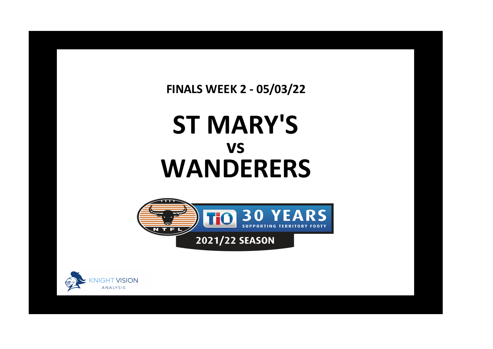**FINALS WEEK 2 - 05/03/22**

## **ST MARY'S WANDERERS vs**





**x**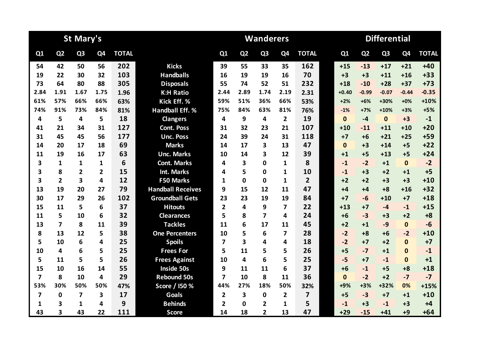|                         |                | <b>St Mary's</b>        |                |              |                          |                |                | <b>Wanderers</b> |                         |                | <b>Differential</b> |                |                |                |              |  |
|-------------------------|----------------|-------------------------|----------------|--------------|--------------------------|----------------|----------------|------------------|-------------------------|----------------|---------------------|----------------|----------------|----------------|--------------|--|
| Q1                      | Q <sub>2</sub> | Q <sub>3</sub>          | Q4             | <b>TOTAL</b> |                          | Q1             | Q <sub>2</sub> | Q <sub>3</sub>   | Q <sub>4</sub>          | <b>TOTAL</b>   | Q1                  | Q <sub>2</sub> | Q <sub>3</sub> | Q <sub>4</sub> | <b>TOTAL</b> |  |
| 54                      | 42             | 50                      | 56             | 202          | <b>Kicks</b>             | 39             | 55             | 33               | 35                      | 162            | $+15$               | $-13$          | $+17$          | $+21$          | $+40$        |  |
| 19                      | 22             | 30                      | 32             | 103          | <b>Handballs</b>         | 16             | 19             | 19               | 16                      | 70             | $+3$                | $+3$           | $+11$          | $+16$          | $+33$        |  |
| 73                      | 64             | 80                      | 88             | 305          | <b>Disposals</b>         | 55             | 74             | 52               | 51                      | 232            | $+18$               | $-10$          | $+28$          | $+37$          | $+73$        |  |
| 2.84                    | 1.91           | 1.67                    | 1.75           | 1.96         | <b>K:H Ratio</b>         | 2.44           | 2.89           | 1.74             | 2.19                    | 2.31           | $+0.40$             | $-0.99$        | $-0.07$        | $-0.44$        | $-0.35$      |  |
| 61%                     | 57%            | 66%                     | 66%            | 63%          | Kick Eff. %              | 59%            | 51%            | 36%              | 66%                     | 53%            | $+2%$               | $+6%$          | +30%           | $+0%$          | $+10%$       |  |
| 74%                     | 91%            | 73%                     | 84%            | 81%          | <b>Handball Eff. %</b>   | 75%            | 84%            | 63%              | 81%                     | 76%            | $-1%$               | $+7%$          | $+10%$         | $+3%$          | $+5%$        |  |
| 4                       | 5              | 4                       | 5              | 18           | <b>Clangers</b>          | 4              | 9              | 4                | $\mathbf{2}$            | 19             | $\mathbf{0}$        | $-4$           | $\mathbf{0}$   | $+3$           | $-1$         |  |
| 41                      | 21             | 34                      | 31             | 127          | <b>Cont. Poss</b>        | 31             | 32             | 23               | 21                      | 107            | $+10$               | $-11$          | $+11$          | $+10$          | $+20$        |  |
| 31                      | 45             | 45                      | 56             | 177          | <b>Unc. Poss</b>         | 24             | 39             | 24               | 31                      | 118            | $+7$                | $+6$           | $+21$          | $+25$          | $+59$        |  |
| 14                      | 20             | 17                      | 18             | 69           | <b>Marks</b>             | 14             | 17             | 3                | 13                      | 47             | $\mathbf{0}$        | $+3$           | $+14$          | $+5$           | $+22$        |  |
| 11                      | 19             | 16                      | 17             | 63           | <b>Unc. Marks</b>        | 10             | 14             | 3                | 12                      | 39             | $+1$                | $+5$           | $+13$          | $+5$           | $+24$        |  |
| 3                       | $\mathbf{1}$   | 1                       | 1              | 6            | <b>Cont. Marks</b>       | 4              | 3              | $\Omega$         | 1                       | 8              | $-1$                | $-2$           | $+1$           | $\mathbf{0}$   | $-2$         |  |
| 3                       | 8              | $\overline{2}$          | $\overline{2}$ | 15           | <b>Int. Marks</b>        | 4              | 5              | 0                | $\mathbf{1}$            | 10             | $-1$                | $+3$           | $+2$           | $+1$           | $+5$         |  |
| 3                       | $\overline{2}$ | $\overline{\mathbf{3}}$ | 4              | 12           | <b>F50 Marks</b>         | 1              | $\Omega$       | $\Omega$         | 1                       | $\overline{2}$ | $+2$                | $+2$           | $+3$           | $+3$           | $+10$        |  |
| 13                      | 19             | 20                      | 27             | 79           | <b>Handball Receives</b> | 9              | 15             | 12               | 11                      | 47             | $+4$                | $+4$           | $+8$           | $+16$          | $+32$        |  |
| 30                      | 17             | 29                      | 26             | 102          | <b>Groundball Gets</b>   | 23             | 23             | 19               | 19                      | 84             | $+7$                | $-6$           | $+10$          | $+7$           | $+18$        |  |
| 15                      | 11             | 5                       | 6              | 37           | <b>Hitouts</b>           | $\overline{2}$ | 4              | 9                | 7                       | 22             | $+13$               | $+7$           | $-4$           | $-1$           | $+15$        |  |
| 11                      | 5              | 10                      | 6              | 32           | <b>Clearances</b>        | 5              | 8              | 7                | 4                       | 24             | $+6$                | $-3$           | $+3$           | $+2$           | $+8$         |  |
| 13                      | $\overline{7}$ | 8                       | 11             | 39           | <b>Tackles</b>           | 11             | 6              | 17               | 11                      | 45             | $+2$                | $+1$           | $-9$           | $\mathbf{0}$   | $-6$         |  |
| 8                       | 13             | 12                      | 5              | 38           | <b>One Percenters</b>    | 10             | 5              | 6                | $\overline{\mathbf{z}}$ | 28             | $-2$                | $+8$           | $+6$           | $-2$           | $+10$        |  |
| 5                       | 10             | 6                       | 4              | 25           | <b>Spoils</b>            | 7              | 3              | 4                | 4                       | 18             | $-2$                | $+7$           | $+2$           | $\Omega$       | $+7$         |  |
| 10                      | 4              | 6                       | 5              | 25           | <b>Frees For</b>         | 5              | 11             | 5                | 5                       | 26             | $+5$                | $-7$           | $+1$           | $\bf{0}$       | $-1$         |  |
| 5                       | 11             | 5                       | 5              | 26           | <b>Frees Against</b>     | 10             | 4              | 6                | 5                       | 25             | $-5$                | $+7$           | $-1$           | $\bf{0}$       | $+1$         |  |
| 15                      | 10             | 16                      | 14             | 55           | <b>Inside 50s</b>        | 9              | 11             | 11               | 6                       | 37             | $+6$                | $-1$           | $+5$           | $+8$           | $+18$        |  |
| $\overline{\mathbf{z}}$ | 8              | 10                      | 4              | 29           | <b>Rebound 50s</b>       | 7              | 10             | 8                | 11                      | 36             | $\mathbf{0}$        | $-2$           | $+2$           | $-7$           | $-7$         |  |
| 53%                     | 30%            | 50%                     | 50%            | 47%          | Score / I50 %            | 44%            | 27%            | 18%              | 50%                     | 32%            | +9%                 | $+3%$          | +32%           | 0%             | $+15%$       |  |
| $\overline{\mathbf{z}}$ | $\mathbf 0$    | $\overline{\mathbf{z}}$ | 3              | 17           | Goals                    | $\overline{2}$ | 3              | 0                | $\overline{2}$          | $\overline{7}$ | $+5$                | $-3$           | $+7$           | $+1$           | $+10$        |  |
| 1                       | 3              | 1                       | 4              | 9            | <b>Behinds</b>           | 2              | $\Omega$       | 2                | 1                       | 5              | $-1$                | $+3$           | $-1$           | $+3$           | $+4$         |  |
| 43                      | 3              | 43                      | 22             | 111          | <b>Score</b>             | 14             | 18             | $\overline{2}$   | 13                      | 47             | $+29$               | $-15$          | $+41$          | $+9$           | $+64$        |  |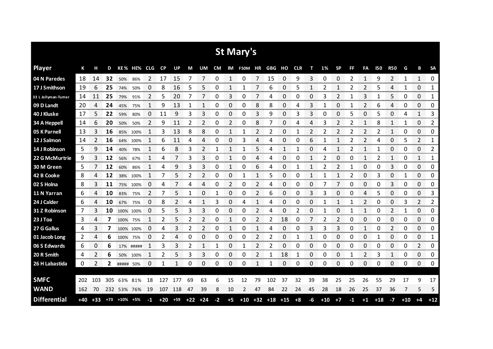| St Mary's            |     |       |       |             |             |    |       |       |       |       |      |      |            |    |             |       |            |    |       |           |    |                |            |                |       |              |           |
|----------------------|-----|-------|-------|-------------|-------------|----|-------|-------|-------|-------|------|------|------------|----|-------------|-------|------------|----|-------|-----------|----|----------------|------------|----------------|-------|--------------|-----------|
| <b>Player</b>        | К   | н     | D     |             | KE% HE% CLG |    | CP    | UP    | M     | UM    | CM   |      | IM F50M HR |    | GBG HO      |       | <b>CLR</b> | т  | 1%    | <b>SP</b> | FF | FA             | <b>I50</b> | <b>R50</b>     | G     | В            | <b>SA</b> |
| 04 N Paredes         | 18  | 14    | 32    | 50%         | 86%         | 2  | 17    | 15    | 7     | 7     | 0    | 1    | 0          | 7  | 15          | 0     | 9          | 3  | 0     | 0         | 2  | $\mathbf{1}$   | 9          | $\overline{2}$ | 1     | $\mathbf{1}$ | 0         |
| 17 J Smithson        | 19  | 6     | 25    | 74%         | 50%         | O  | 8     | 16    | 5     | 5     | 0    |      |            |    | 6           | 0     | 5          |    |       |           |    | 2              | 5          | 4              |       | 0            | 1         |
| 33 L Jellyman-Turner | 14  | 11    | 25    | 79%         | 91%         | 2  | 5     | 20    |       | 7     | 0    | 3    | 0          | 7  | 4           | 0     | 0          | 0  | 3     | 2         |    | 3              |            | 5              | 0     | 0            | 1         |
| 09 D Landt           | 20  | 4     | 24    | 45%         | 75%         | 1  | 9     | 13    | 1     | 1     | 0    | 0    | 0          | 8  | 8           | 0     | 4          | 3  |       | 0         |    | 2              | 6          | 4              | 0     | 0            | 0         |
| 40 J Kluske          | 17  | 5     | 22    | 59%         | 80%         | 0  | 11    | 9     | 3     | 3     | 0    | 0    | 0          | 3  | 9           | 0     | 3          | 3  | 0     | 0         | 5  | 0              | 5          | 0              | 4     | 1            | 3         |
| 34 A Heppell         | 14  | 6     | 20    | 50%         | 50%         | 2  | 9     | 11    | 2     | 2     | 0    | 2    | 0          | 8  |             | 0     | 4          | 4  | 3     | 2         |    | 1              | 8          | 1              | 1     | 0            | 2         |
| 05 K Parnell         | 13  | 3     | 16    | 85%         | 100%        | 1  | 3     | 13    | 8     | 8     | 0    | 1    |            | 2  | 2           | 0     |            | 2  | 2     | 2         | 2  | 2              | 2          | 1              | 0     | 0            | 0         |
| 12 J Salmon          | 14  | 2     | 16    |             | 64% 100%    | 1  | 6     | 11    | 4     | 4     | 0    | 0    | 3          | 4  |             | 0     | 0          | 6  |       | 1         | 2  | 2              | 4          | 0              | 5     | 2            | 1         |
| 14 J Robinson        | 5   | 9     | 14    | 40%         | 78%         | 1  | 6     | 8     | 3     | 2     | 1    | 1    | 1          | 5  | 4           | 1     | 1          | 0  | 4     | 1         | 2  | 1              | 1          | 0              | 0     | 0            | 2         |
| 22 G McMurtrie       | 9   | 3     | 12    | 56%         | 67%         |    | 4     |       | 3     | 3     | 0    |      | 0          | 4  |             | 0     | Ω          | 1  | 2     | 0         | 0  | 1              | 2          | 1              | 0     | 1            | 1         |
| 30 M Green           | 5   |       | 12    | 60%         | 86%         | 1  | 4     | 9     | 3     | 3     | 0    | 1    | 0          | 6  | 4           | 0     | 1          | 1  | 2     | 2         | 1  | 0              | 0          | 3              | 0     | 0            | 0         |
| 42 B Cooke           | 8   | 4     | 12    | 38%         | 100%        | 1  |       | 5     | 2     | 2     | 0    | 0    |            | 1  | 5           | 0     | 0          | 1  |       | 1         | 2  | 0              | 3          | 0              | 1     | 0            | 0         |
| 02 S Holna           | 8   | 3     | 11    |             | 75% 100%    | 0  | 4     | 7     | 4     | 4     | 0    | 2    | 0          | 2  | 4           | 0     | 0          | 0  |       | 7         | 0  | 0              | 0          | 3              | 0     | 0            | 0         |
| 11 N Yarran          | 6   | 4     | 10    | 83%         | 75%         | 2  |       | 5     | 1     | 0     | 1    | 0    | 0          | 2  | 6           | 0     | Ω          | 3  | 3     | 0         | 0  | 4              | 5          | 0              | 0     | 0            | 3         |
| 24 J Calder          | 6   | 4     | 10    | 67%         | 75%         | 0  | 8     | 2     | 4     | 1     | 3    | 0    | 4          | 1  | 4           | 0     | 0          | 0  | 1     | 1         | 1  | $\overline{2}$ | 0          | 0              | 3     | 2            | 2         |
| 31 Z Robinson        | 7   | 3     | 10    | 100% 100%   |             | 0  | 5     | 5     | 3     | 3     | 0    | 0    | 0          | 2  | 4           | 0     | 2          | 0  | 1     | 0         | 1  | 1              | 0          | 2              | 1     | 0            | 0         |
| 23 J Toa             | 3   | 4     | 7     | 100%        | 75%         | 1  | 2     | 5     | 2     | 2     | 0    | 1    | 0          | 2  | 2           | 18    | 0          | 7  | 2     | 2         | 0  | 0              | 0          | 0              | 0     | 0            | 0         |
| 27 G Gallus          | 4   | 3     | 7     |             | 100% 100%   | 0  | 4     | 3     | 2     | 2     | 0    | 1    | 0          | 1  | 4           | 0     | Ω          | 3  | 3     | 3         | 0  | 1              | 0          | 2              | 0     | 0            | 0         |
| 01 Jacob Long        | 2   | 4     | 6     | 100%        | 75%         | 0  | 2     | 4     | 0     | 0     | 0    | 0    | 0          | 2  | 2           | 0     | 1          | 1  | 0     | 0         | 0  | 0              | 1          | 0              | 0     | 0            | 1         |
| 06 S Edwards         | 6   | 0     | 6     |             | 17% #####   | 1  | 3     | 3     | 2     | 1     | 1    | 0    |            | 2  | 2           | 0     | 0          | 0  | 0     | 0         | 0  | 0              | 0          | 0              | 0     | 2            | 0         |
| 20 R Smith           | 4   | 2     | 6     | 50%         | 100%        | 1  | 2     | 5     | 3     | 3     | 0    | 0    | 0          | 2  | 1           | 18    | 1          | 0  | 0     | 0         | 1  | 2              | 3          | 1              | 0     | 0            | 0         |
| 26 H Labastida       | 0   | 2     | 2     | ##### 50%   |             | 0  | 1     | 1     | 0     | 0     | 0    | 0    | 0          | 1  | 1           | 0     | 0          | 0  | 0     | 0         | 0  | 0              | 0          | 0              | 0     | 0            | 0         |
|                      |     |       |       |             |             |    |       |       |       |       |      |      |            |    |             |       |            |    |       |           |    |                |            |                |       |              |           |
| <b>SMFC</b>          | 202 | 103   | 305   | 63%         | 81%         | 18 | 127   | 177   | 69    | 63    | 6    | 15   | 12         | 79 | 102         | 37    | 32         | 39 | 38    | 25        | 25 | 26             | 55         | 29             | 17    | 9            | 17        |
| <b>WAND</b>          | 162 | 70    |       | 232 53% 76% |             | 19 | 107   | 118   | 47    | 39    | 8    | 10   | 2          | 47 | 84          | 22    | 24         | 45 | 28    | 18        | 26 | 25             | 37         | 36             | 7     | 5            | 5         |
| <b>Differential</b>  | +40 | $+33$ | $+73$ | $+10%$      | +5%         | -1 | $+20$ | $+59$ | $+22$ | $+24$ | $-2$ | $+5$ | $+10$      |    | $+32$ $+18$ | $+15$ | $+8$       | -6 | $+10$ | $+7$      | -1 | $+1$           | $+18$      | $-7$           | $+10$ | +4           | $+12$     |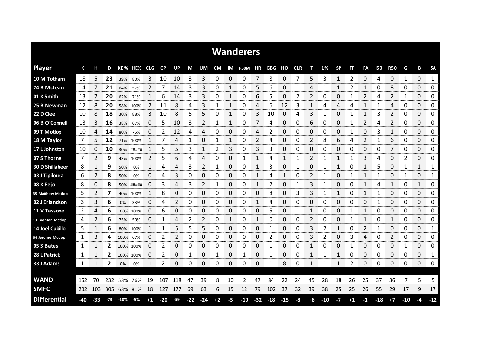|                        | <b>Wanderers</b> |                |       |             |           |      |                     |       |       |                |           |              |       |                |            |             |            |      |       |           |      |                |            |            |       |             |                       |
|------------------------|------------------|----------------|-------|-------------|-----------|------|---------------------|-------|-------|----------------|-----------|--------------|-------|----------------|------------|-------------|------------|------|-------|-----------|------|----------------|------------|------------|-------|-------------|-----------------------|
| <b>Player</b>          | К                | н              | D     |             | KE% HE%   | CLG. | <b>CP</b>           | UP.   | М     | UM             | <b>CM</b> | IM           | F50M  | ΗR             | <b>GBG</b> | но          | <b>CLR</b> | т    | 1%    | <b>SP</b> | FF   | FA             | <b>150</b> | <b>R50</b> | G     | В           | <b>SA</b>             |
| 10 M Totham            | 18               | 5              | 23    | 39%         | 80%       | 3    | 10                  | 10    | 3     | 3              | 0         | 0            | 0     | 7              | 8          | 0           |            | 5    | 3     | 1         | 2    | 0              | 4          | 0          | 1     | 0           | $\mathbf{1}$          |
| 24 B McLean            | 14               | 7              | 21    | 64%         | 57%       | 2    |                     | 14    | 3     | 3              | 0         | 1            | 0     | 5              | 6          | 0           | 1          | 4    |       |           | 2    | 1              | 0          | 8          | 0     | 0           | 0                     |
| 01 K Smith             | 13               | 7              | 20    | 62%         | 71%       | 1    | 6                   | 14    | 3     | 3              | 0         | 1            | 0     | 6              | 5          | 0           | 2          | 2    | 0     | 0         | 1    | 2              | 4          | 2          | 1     | 0           | 0                     |
| 25 B Newman            | 12               | 8              | 20    | 58%         | 100%      | 2    | 11                  | 8     | 4     | 3              | 1         | $\mathbf{1}$ | 0     | 4              | 6          | 12          | 3          | 1    | 4     | 4         | 4    | $\mathbf{1}$   | 1          | 4          | 0     | 0           | 0                     |
| 22 D Clee              | 10               | 8              | 18    | 30%         | 88%       | 3    | 10                  | 8     | 5     | 5              | 0         | $\mathbf{1}$ | 0     | 3              | 10         | 0           | 4          | 3    | 1     | 0         | 1    | 1              | 3          | 2          | 0     | 0           | 0                     |
| 06 B O'Connell         | 13               | 3              | 16    | 38%         | 67%       | 0    | 5                   | 10    | 3     | 2              | 1         | 1            | 0     | 7              | 4          | 0           | 0          | 6    | 0     | 0         |      | 2              | 4          | 2          | 0     | 0           | 0                     |
| 09 T Motlop            | -10              | 4              | 14    | 80%         | 75%       | 0    | 2                   | 12    | 4     | 4              | 0         | 0            | 0     | 4              | 2          | 0           | 0          | 0    | 0     | 0         | 1    | 0              | 3          | 1          | 0     | 0           | 0                     |
| 18 M Taylor            | 7                | 5              | 12    | 71%         | 100%      | 1    | 7                   | 4     | 1     | 0              | 1         | 1            | 0     | $\overline{2}$ | 4          | 0           | 0          | 2    | 8     | 6         | 4    | $\overline{2}$ | 1          | 6          | 0     | 0           | 0                     |
| 17 L Johnston          | -10              | 0              | 10    | 30%         | #####     | 1    | 5                   | 5     | 3     | 1              | 2         | 3            | 0     | 3              | 3          | 0           | 0          | 0    | 0     | 0         | 0    | 0              | 0          | 7          | 0     | 0           | 0                     |
| 07 S Thorne            | 7                | 2              | 9     | 43%         | 100%      | 2    | 5                   | 6     | 4     | 4              | 0         | 0            | 1     | 1              | 4          | 1           | 1          | 2    |       | 1         |      | 3              | 4          | 0          | 2     | 0           | 0                     |
| <b>30 D Shillabeer</b> | 8                | 1              | 9     | 50%         | 0%        |      | 4                   | 4     | 3     | 2              |           | 0            | 0     | 1              | 3          | 0           |            | 0    |       | 1         | 0    | 1              | 5          | 0          | 1     | 1           | 1                     |
| 03 J Tipiloura         | 6                | $\overline{2}$ | 8     | 50%         | 0%        | 0    | 4                   | 3     | 0     | 0              | 0         | 0            | 0     | 1              | 4          | 1           | 0          | 2    |       | 0         | 1    | 1              |            | 0          | 1     | 0           | 1                     |
| 08 K Fejo              | 8                | 0              | 8     |             | 50% ##### | 0    | 3                   | 4     | 3     | 2              | 1         | 0            | 0     | 1              | 2          | 0           |            | 3    |       | 0         | 0    | 1              | 4          | 1          | 0     | 1           | 0                     |
| 35 Matthew Motlop      | 5                | $\overline{2}$ | 7     | 40%         | 100%      |      | 8                   | 0     | 0     | 0              | 0         | 0            | 0     | 0              | 8          | 0           | 3          | 3    |       | 1         | 0    | $\mathbf{1}$   |            | 0          | 0     | 0           | 0                     |
| 02 J Erlandson         | 3                | 3              | 6     | 0%          | 33%       | 0    | 4                   | 2     | 0     | 0              | 0         | 0            | 0     | 1              | 4          | 0           | 0          | 0    | 0     | 0         | 0    | 0              |            | 0          | 0     | 0           | 0                     |
| 11 V Tassone           | 2                | 4              | 6     |             | 100% 100% | 0    | 6                   | 0     | 0     | 0              | 0         | 0            | 0     | 0              | 5          | 0           |            |      | 0     | 0         | 1    | $\mathbf{1}$   | 0          | 0          | 0     | 0           | 0                     |
| 13 Brenton Motlop      | 4                | 2              | 6     | 75%         | 50%       | 0    | 1                   | 4     | 2     | $\overline{2}$ | 0         | 1            | 0     | 1              | 0          | 0           | 0          | 2    | 0     | 0         | 1    | 1              | 0          | 1          | 0     | 0           | 0                     |
| 14 Joel Cubillo        | 5                | 1              | 6     |             | 80% 100%  | 1    | 1                   | 5     | 5     | 5              | 0         | 0            | 0     | 0              | 1          | 0           | 0          | 3    |       | 1         | O    | 2              |            | 0          | 0     | 0           | 1                     |
| 04 Jerome Motlop       | 1                | 3              | 4     | 100%        | 67%       | 0    | 2                   | 2     | 0     | 0              | 0         | 0            | 0     | 0              | 2          | 0           | 0          | 3    | 2     | 0         | 3    | 4              | 0          | 2          | 0     | 0           | 0                     |
| 05 S Bates             | 1                | 1              | 2     |             | 100% 100% | 0    | 2<br>nanan <b>a</b> | 0     | 0     | 0              | 0         | 0            | 0     | 0              | 1          | 0<br>manan. | 0          | 1    | ŋ     | 0         | 1    | 0              | 0          | 0          | 1     | 0<br>an ana | 0<br><b>TOTAL CON</b> |
| 28 L Patrick           | 1                | 1              | 2     | 100% 100%   |           | 0    | 2                   | 0     | 1     | 0              | 1         | 0            | 1     | 0              | 1          | 0           | 0          | 1    | 1     | 1         | 0    | 0              | 0          | 0          | 0     | 0           | 1<br>an an an         |
| 33 J Adams             | 1                | 1              | 2     | 0%          | 0%        |      | 2                   | 0     | 0     | 0              | 0         | 0            | 0     | 0              | 1          | 8           | 0          | 1    | 1     | 1         | 2    | 0              | 0          | 0          | 0     | 0           | 0                     |
|                        |                  |                |       |             |           |      |                     |       |       |                |           |              |       |                |            |             |            |      |       |           |      |                |            |            |       |             |                       |
| <b>WAND</b>            | 162              | 70             |       | 232 53%     | 76%       | 19   | 107                 | 118   | 47    | 39             | 8         | 10           |       | 47             | 84         | 22          | 24         | 45   | 28    | 18        | 26   | 25             | 37         | 36         |       | 5           | 5                     |
| <b>SMFC</b>            | 202              | 103            |       | 305 63% 81% |           | 18   | 127                 | 177   | 69    | 63             | 6         | 15           | 12    | 79             | 102        | 37          | 32         | 39   | 38    | 25        | 25   | 26             | 55         | 29         | 17    | 9           | 17                    |
| <b>Differential</b>    | -40              | $-33$          | $-73$ | $-10%$      | $-5%$     | $+1$ | $-20$               | $-59$ | $-22$ | $-24$          | $+2$      | -5           | $-10$ | $-32$          | $-18$      | $-15$       | -8         | $+6$ | $-10$ | $-7$      | $+1$ | -1             | $-18$      | $+7$       | $-10$ | $-4$        | $-12$                 |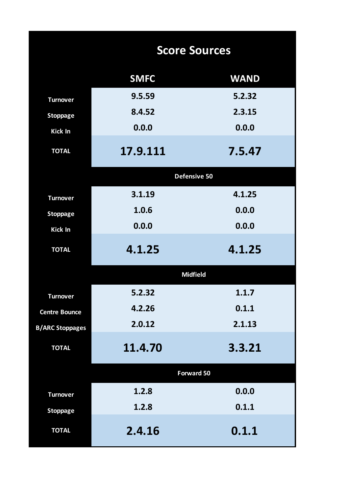|                        | <b>Score Sources</b> |             |  |  |  |  |  |  |  |  |
|------------------------|----------------------|-------------|--|--|--|--|--|--|--|--|
|                        | <b>SMFC</b>          | <b>WAND</b> |  |  |  |  |  |  |  |  |
| <b>Turnover</b>        | 9.5.59               | 5.2.32      |  |  |  |  |  |  |  |  |
| <b>Stoppage</b>        | 8.4.52               | 2.3.15      |  |  |  |  |  |  |  |  |
| <b>Kick In</b>         | 0.0.0                | 0.0.0       |  |  |  |  |  |  |  |  |
| <b>TOTAL</b>           | 17.9.111             | 7.5.47      |  |  |  |  |  |  |  |  |
|                        | Defensive 50         |             |  |  |  |  |  |  |  |  |
| <b>Turnover</b>        | 3.1.19               | 4.1.25      |  |  |  |  |  |  |  |  |
| <b>Stoppage</b>        | 1.0.6                | 0.0.0       |  |  |  |  |  |  |  |  |
| <b>Kick In</b>         | 0.0.0                | 0.0.0       |  |  |  |  |  |  |  |  |
| <b>TOTAL</b>           | 4.1.25               | 4.1.25      |  |  |  |  |  |  |  |  |
|                        | <b>Midfield</b>      |             |  |  |  |  |  |  |  |  |
| <b>Turnover</b>        | 5.2.32               | 1.1.7       |  |  |  |  |  |  |  |  |
| <b>Centre Bounce</b>   | 4.2.26               | 0.1.1       |  |  |  |  |  |  |  |  |
| <b>B/ARC Stoppages</b> | 2.0.12               | 2.1.13      |  |  |  |  |  |  |  |  |
| <b>TOTAL</b>           | 11.4.70              | 3.3.21      |  |  |  |  |  |  |  |  |
|                        | <b>Forward 50</b>    |             |  |  |  |  |  |  |  |  |
| <b>Turnover</b>        | 1.2.8                | 0.0.0       |  |  |  |  |  |  |  |  |
| <b>Stoppage</b>        | 1.2.8                | 0.1.1       |  |  |  |  |  |  |  |  |
| <b>TOTAL</b>           | 2.4.16               | 0.1.1       |  |  |  |  |  |  |  |  |